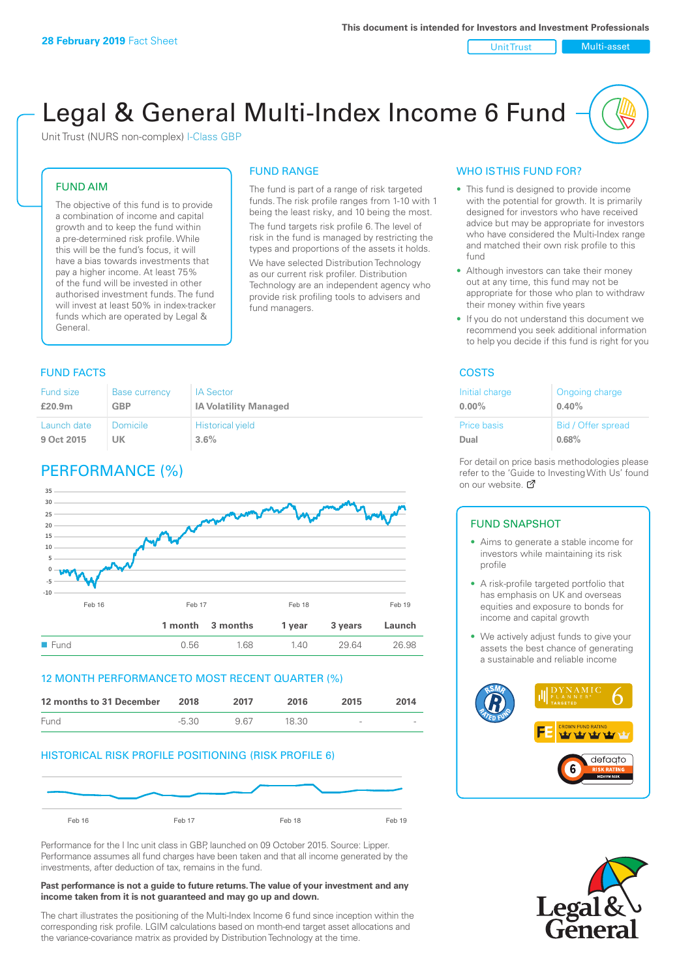#### Unit Trust Nulti-asset

# Legal & General Multi-Index Income 6 Fund

The fund is part of a range of risk targeted funds. The risk profile ranges from 1-10 with 1 being the least risky, and 10 being the most. The fund targets risk profile 6. The level of risk in the fund is managed by restricting the types and proportions of the assets it holds. We have selected Distribution Technology as our current risk profiler. Distribution Technology are an independent agency who provide risk profiling tools to advisers and

FUND RANGE

fund managers.

Unit Trust (NURS non-complex) I-Class GBP

### FUND AIM

The objective of this fund is to provide a combination of income and capital growth and to keep the fund within a pre-determined risk profile. While this will be the fund's focus, it will have a bias towards investments that pay a higher income. At least 75% of the fund will be invested in other authorised investment funds. The fund will invest at least 50% in index-tracker funds which are operated by Legal & General.

#### Fund size **£20.9m** Base currency **GBP** IA Sector **IA Volatility Managed** Launch date **9 Oct 2015** Domicile **UK** Historical yield **3.6%**

### PERFORMANCE (%)



### 12 MONTH PERFORMANCE TO MOST RECENT QUARTER (%)



### HISTORICAL RISK PROFILE POSITIONING (RISK PROFILE 6)



Performance for the I Inc unit class in GBP, launched on 09 October 2015. Source: Lipper. Performance assumes all fund charges have been taken and that all income generated by the investments, after deduction of tax, remains in the fund.

#### **Past performance is not a guide to future returns. The value of your investment and any income taken from it is not guaranteed and may go up and down.**

The chart illustrates the positioning of the Multi-Index Income 6 fund since inception within the corresponding risk profile. LGIM calculations based on month-end target asset allocations and the variance-covariance matrix as provided by Distribution Technology at the time.

### WHO IS THIS FUND FOR?

- This fund is designed to provide income with the potential for growth. It is primarily designed for investors who have received advice but may be appropriate for investors who have considered the Multi-Index range and matched their own risk profile to this fund
- Although investors can take their money out at any time, this fund may not be appropriate for those who plan to withdraw their money within five years
- If you do not understand this document we recommend you seek additional information to help you decide if this fund is right for you

#### **FUND FACTS** COSTS

| Initial charge | Ongoing charge     |
|----------------|--------------------|
| $0.00\%$       | 0.40%              |
| Price basis    | Bid / Offer spread |
| Dual           | 0.68%              |

For detail on price basis methodologies please refer to the 'Guide to Investing With Us' found on our website. Ø

### FUND SNAPSHOT

- Aims to generate a stable income for investors while maintaining its risk profile
- A risk-profile targeted portfolio that has emphasis on UK and overseas equities and exposure to bonds for income and capital growth
- We actively adjust funds to give your assets the best chance of generating a sustainable and reliable income



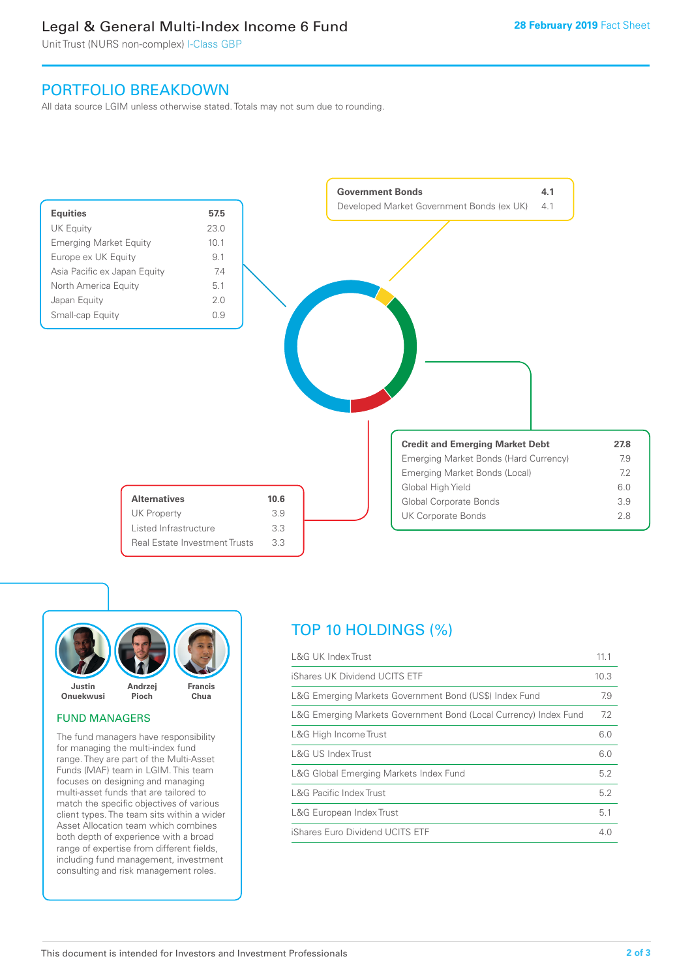### Legal & General Multi-Index Income 6 Fund

Unit Trust (NURS non-complex) I-Class GBP

### PORTFOLIO BREAKDOWN

All data source LGIM unless otherwise stated. Totals may not sum due to rounding.





### FUND MANAGERS

The fund managers have responsibility for managing the multi-index fund range. They are part of the Multi-Asset Funds (MAF) team in LGIM. This team focuses on designing and managing multi-asset funds that are tailored to match the specific objectives of various client types. The team sits within a wider Asset Allocation team which combines both depth of experience with a broad range of expertise from different fields, including fund management, investment consulting and risk management roles.

## TOP 10 HOLDINGS (%)

| <b>L&amp;G UK Index Trust</b>                                    | 11.1 |
|------------------------------------------------------------------|------|
| iShares UK Dividend UCITS ETF                                    | 10.3 |
| L&G Emerging Markets Government Bond (US\$) Index Fund           | 7.9  |
| L&G Emerging Markets Government Bond (Local Currency) Index Fund | 7.2  |
| L&G High Income Trust                                            | 6.0  |
| L&G US Index Trust                                               | 6.0  |
| L&G Global Emerging Markets Index Fund                           | 5.2  |
| <b>L&amp;G Pacific Index Trust</b>                               | 5.2  |
| L&G European Index Trust                                         | 5.1  |
| iShares Euro Dividend UCITS ETF                                  | 4.0  |